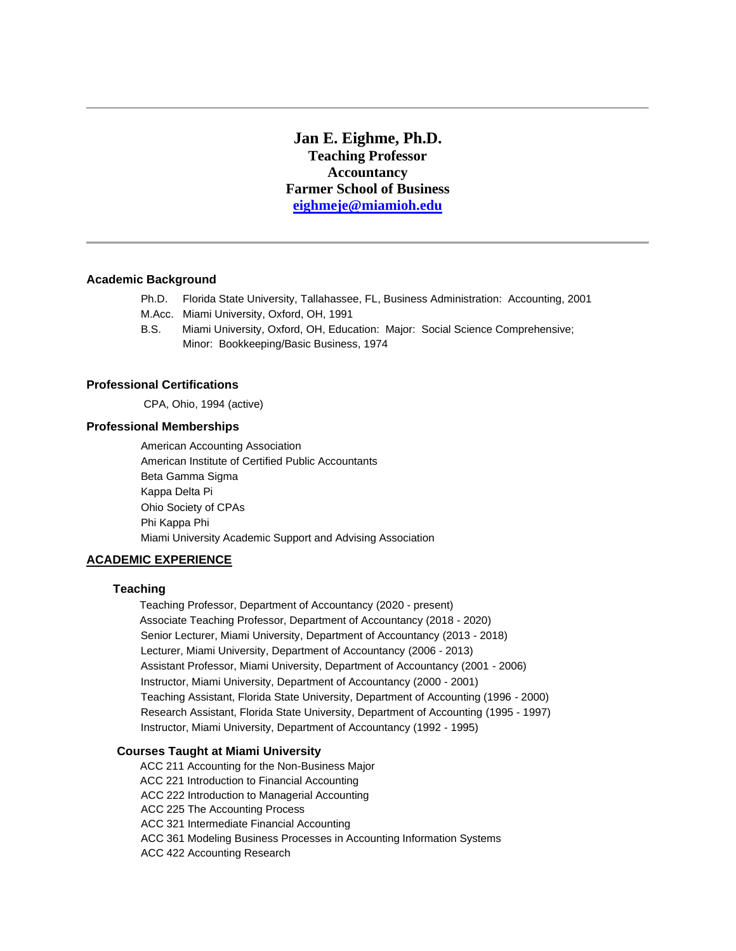**Jan E. Eighme, Ph.D. Teaching Professor Accountancy Farmer School of Business [eighmeje@miamioh.edu](mailto:eighmeje@miamioh.edu)**

# **Academic Background**

- Ph.D. Florida State University, Tallahassee, FL, Business Administration: Accounting, 2001
- M.Acc. Miami University, Oxford, OH, 1991
- B.S. Miami University, Oxford, OH, Education: Major: Social Science Comprehensive; Minor: Bookkeeping/Basic Business, 1974

# **Professional Certifications**

CPA, Ohio, 1994 (active)

### **Professional Memberships**

 American Accounting Association American Institute of Certified Public Accountants Beta Gamma Sigma Kappa Delta Pi Ohio Society of CPAs Phi Kappa Phi Miami University Academic Support and Advising Association

# **ACADEMIC EXPERIENCE**

# **Teaching**

Teaching Professor, Department of Accountancy (2020 - present) Associate Teaching Professor, Department of Accountancy (2018 - 2020) Senior Lecturer, Miami University, Department of Accountancy (2013 - 2018) Lecturer, Miami University, Department of Accountancy (2006 - 2013) Assistant Professor, Miami University, Department of Accountancy (2001 - 2006) Instructor, Miami University, Department of Accountancy (2000 - 2001) Teaching Assistant, Florida State University, Department of Accounting (1996 - 2000) Research Assistant, Florida State University, Department of Accounting (1995 - 1997) Instructor, Miami University, Department of Accountancy (1992 - 1995)

# **Courses Taught at Miami University**

ACC 211 Accounting for the Non-Business MajorACC 221 Introduction to Financial Accounting ACC 222 Introduction to Managerial Accounting ACC 225 The Accounting Process ACC 321 Intermediate Financial Accounting ACC 361 Modeling Business Processes in Accounting Information Systems ACC 422 Accounting Research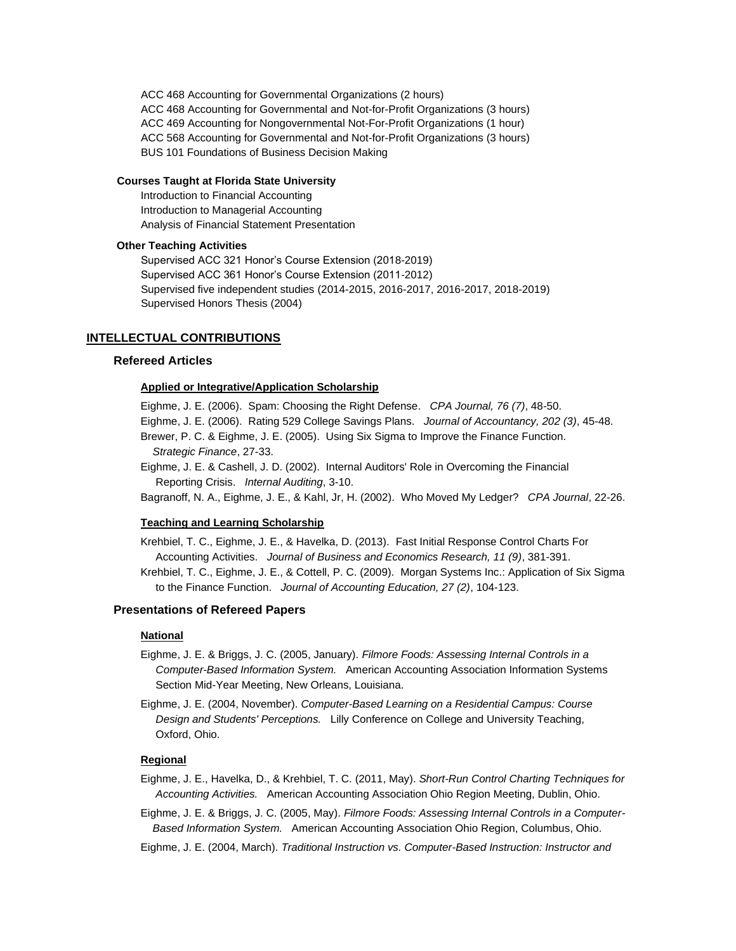ACC 468 Accounting for Governmental Organizations (2 hours) ACC 468 Accounting for Governmental and Not-for-Profit Organizations (3 hours) ACC 469 Accounting for Nongovernmental Not-For-Profit Organizations (1 hour) ACC 568 Accounting for Governmental and Not-for-Profit Organizations (3 hours) BUS 101 Foundations of Business Decision Making

# **Courses Taught at Florida State University**

 Introduction to Financial Accounting Introduction to Managerial Accounting Analysis of Financial Statement Presentation

# **Other Teaching Activities**

Supervised ACC 321 Honor's Course Extension (2018-2019) Supervised ACC 361 Honor's Course Extension (2011-2012) Supervised five independent studies (2014-2015, 2016-2017, 2016-2017, 2018-2019) Supervised Honors Thesis (2004)

### **INTELLECTUAL CONTRIBUTIONS**

# **Refereed Articles**

### **Applied or Integrative/Application Scholarship**

Eighme, J. E. (2006). Spam: Choosing the Right Defense. *CPA Journal, 76 (7)*, 48-50.

Eighme, J. E. (2006). Rating 529 College Savings Plans. *Journal of Accountancy, 202 (3)*, 45-48.

- Brewer, P. C. & Eighme, J. E. (2005). Using Six Sigma to Improve the Finance Function.  *Strategic Finance*, 27-33.
- Eighme, J. E. & Cashell, J. D. (2002). Internal Auditors' Role in Overcoming the Financial Reporting Crisis. *Internal Auditing*, 3-10.

Bagranoff, N. A., Eighme, J. E., & Kahl, Jr, H. (2002). Who Moved My Ledger? *CPA Journal*, 22-26.

### **Teaching and Learning Scholarship**

Krehbiel, T. C., Eighme, J. E., & Havelka, D. (2013). Fast Initial Response Control Charts For Accounting Activities. *Journal of Business and Economics Research, 11 (9)*, 381-391.

Krehbiel, T. C., Eighme, J. E., & Cottell, P. C. (2009). Morgan Systems Inc.: Application of Six Sigma to the Finance Function. *Journal of Accounting Education, 27 (2)*, 104-123.

# **Presentations of Refereed Papers**

### **National**

- Eighme, J. E. & Briggs, J. C. (2005, January). *Filmore Foods: Assessing Internal Controls in a Computer-Based Information System.* American Accounting Association Information Systems Section Mid-Year Meeting, New Orleans, Louisiana.
- Eighme, J. E. (2004, November). *Computer-Based Learning on a Residential Campus: Course Design and Students' Perceptions.* Lilly Conference on College and University Teaching, Oxford, Ohio.

# **Regional**

- Eighme, J. E., Havelka, D., & Krehbiel, T. C. (2011, May). *Short-Run Control Charting Techniques for Accounting Activities.* American Accounting Association Ohio Region Meeting, Dublin, Ohio.
- Eighme, J. E. & Briggs, J. C. (2005, May). *Filmore Foods: Assessing Internal Controls in a Computer- Based Information System.* American Accounting Association Ohio Region, Columbus, Ohio.
- Eighme, J. E. (2004, March). *Traditional Instruction vs. Computer-Based Instruction: Instructor and*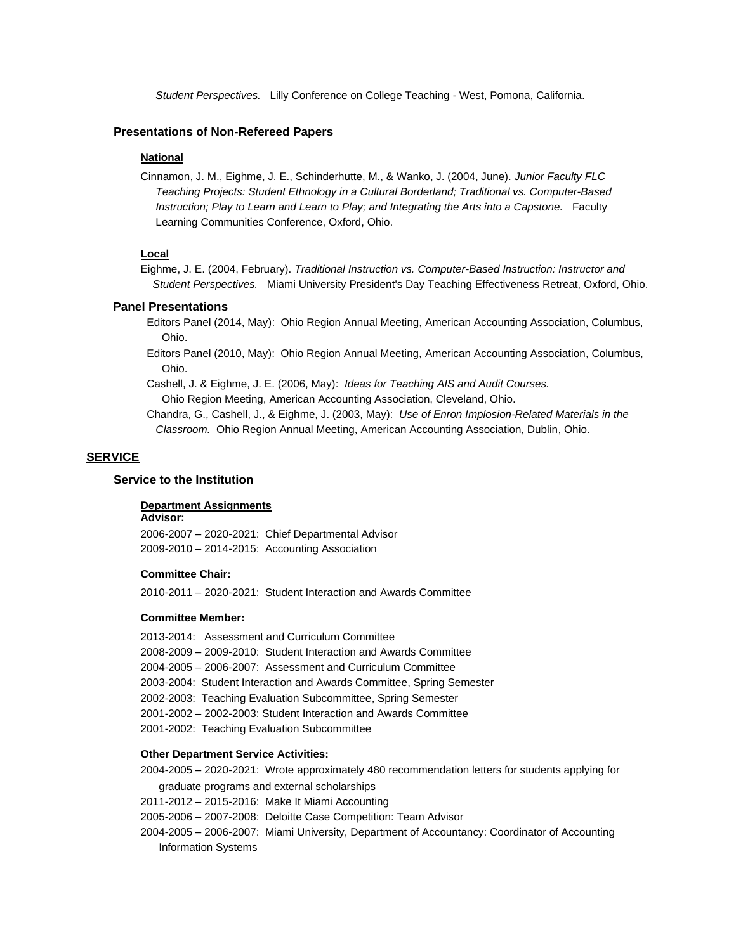*Student Perspectives.* Lilly Conference on College Teaching - West, Pomona, California.

# **Presentations of Non-Refereed Papers**

## **National**

Cinnamon, J. M., Eighme, J. E., Schinderhutte, M., & Wanko, J. (2004, June). *Junior Faculty FLC Teaching Projects: Student Ethnology in a Cultural Borderland; Traditional vs. Computer-Based Instruction; Play to Learn and Learn to Play; and Integrating the Arts into a Capstone.* Faculty Learning Communities Conference, Oxford, Ohio.

# **Local**

Eighme, J. E. (2004, February). *Traditional Instruction vs. Computer-Based Instruction: Instructor and Student Perspectives.* Miami University President's Day Teaching Effectiveness Retreat, Oxford, Ohio.

### **Panel Presentations**

 Editors Panel (2014, May): Ohio Region Annual Meeting, American Accounting Association, Columbus, Ohio.

- Editors Panel (2010, May): Ohio Region Annual Meeting, American Accounting Association, Columbus, Ohio.
- Cashell, J. & Eighme, J. E. (2006, May): *Ideas for Teaching AIS and Audit Courses.* Ohio Region Meeting, American Accounting Association, Cleveland, Ohio.

 Chandra, G., Cashell, J., & Eighme, J. (2003, May): *Use of Enron Implosion-Related Materials in the Classroom.* Ohio Region Annual Meeting, American Accounting Association, Dublin, Ohio.

# **SERVICE**

# **Service to the Institution**

### **Department Assignments**

**Advisor:**

2006-2007 – 2020-2021: Chief Departmental Advisor 2009-2010 – 2014-2015: Accounting Association

## **Committee Chair:**

2010-2011 – 2020-2021: Student Interaction and Awards Committee

#### **Committee Member:**

2013-2014: Assessment and Curriculum Committee 2008-2009 – 2009-2010: Student Interaction and Awards Committee 2004-2005 – 2006-2007: Assessment and Curriculum Committee 2003-2004: Student Interaction and Awards Committee, Spring Semester 2002-2003: Teaching Evaluation Subcommittee, Spring Semester 2001-2002 – 2002-2003: Student Interaction and Awards Committee 2001-2002: Teaching Evaluation Subcommittee

# **Other Department Service Activities:**

2004-2005 – 2020-2021: Wrote approximately 480 recommendation letters for students applying for graduate programs and external scholarships

2011-2012 – 2015-2016: Make It Miami Accounting

- 2005-2006 2007-2008: Deloitte Case Competition: Team Advisor
- 2004-2005 2006-2007: Miami University, Department of Accountancy: Coordinator of Accounting Information Systems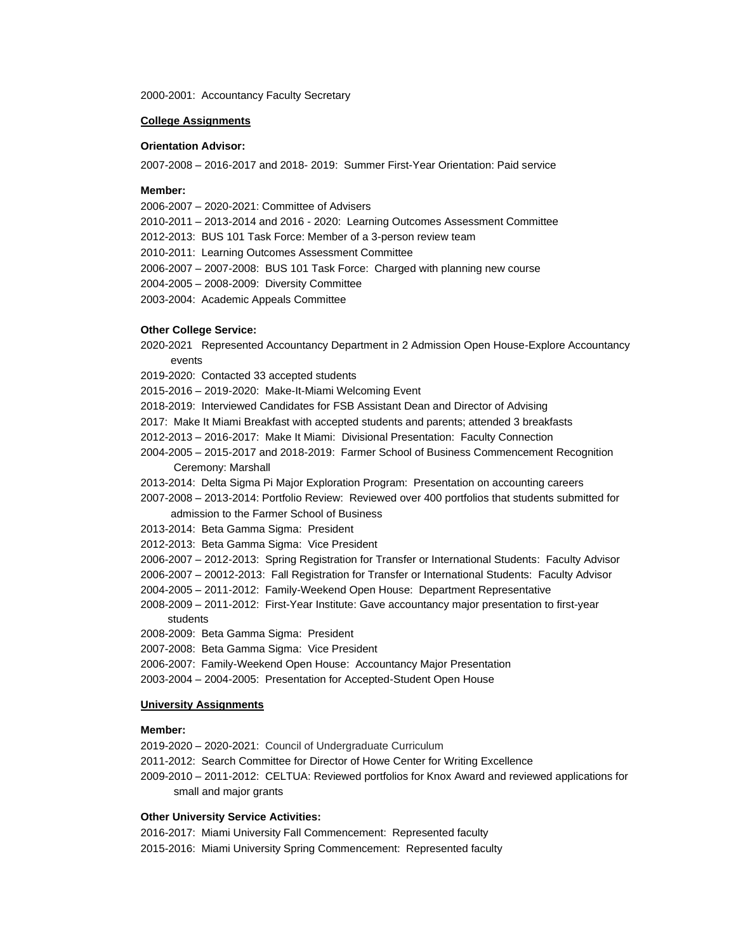2000-2001: Accountancy Faculty Secretary

# **College Assignments**

## **Orientation Advisor:**

2007-2008 – 2016-2017 and 2018- 2019: Summer First-Year Orientation: Paid service

# **Member:**

2006-2007 – 2020-2021: Committee of Advisers

- 2010-2011 2013-2014 and 2016 2020: Learning Outcomes Assessment Committee
- 2012-2013: BUS 101 Task Force: Member of a 3-person review team
- 2010-2011: Learning Outcomes Assessment Committee
- 2006-2007 2007-2008: BUS 101 Task Force: Charged with planning new course
- 2004-2005 2008-2009: Diversity Committee
- 2003-2004: Academic Appeals Committee

## **Other College Service:**

- 2020-2021 Represented Accountancy Department in 2 Admission Open House-Explore Accountancy events
- 2019-2020: Contacted 33 accepted students
- 2015-2016 2019-2020: Make-It-Miami Welcoming Event
- 2018-2019: Interviewed Candidates for FSB Assistant Dean and Director of Advising
- 2017: Make It Miami Breakfast with accepted students and parents; attended 3 breakfasts
- 2012-2013 2016-2017: Make It Miami: Divisional Presentation: Faculty Connection
- 2004-2005 2015-2017 and 2018-2019: Farmer School of Business Commencement Recognition Ceremony: Marshall
- 2013-2014: Delta Sigma Pi Major Exploration Program: Presentation on accounting careers
- 2007-2008 2013-2014: Portfolio Review: Reviewed over 400 portfolios that students submitted for admission to the Farmer School of Business
- 2013-2014: Beta Gamma Sigma: President
- 2012-2013: Beta Gamma Sigma: Vice President
- 2006-2007 2012-2013: Spring Registration for Transfer or International Students: Faculty Advisor
- 2006-2007 20012-2013: Fall Registration for Transfer or International Students: Faculty Advisor
- 2004-2005 2011-2012: Family-Weekend Open House: Department Representative
- 2008-2009 2011-2012: First-Year Institute: Gave accountancy major presentation to first-year students
- 2008-2009: Beta Gamma Sigma: President
- 2007-2008: Beta Gamma Sigma: Vice President
- 2006-2007: Family-Weekend Open House: Accountancy Major Presentation
- 2003-2004 2004-2005: Presentation for Accepted-Student Open House

### **University Assignments**

# **Member:**

- 2019-2020 2020-2021: Council of Undergraduate Curriculum
- 2011-2012: Search Committee for Director of Howe Center for Writing Excellence
- 2009-2010 2011-2012: CELTUA: Reviewed portfolios for Knox Award and reviewed applications for small and major grants

### **Other University Service Activities:**

- 2016-2017: Miami University Fall Commencement: Represented faculty
- 2015-2016: Miami University Spring Commencement: Represented faculty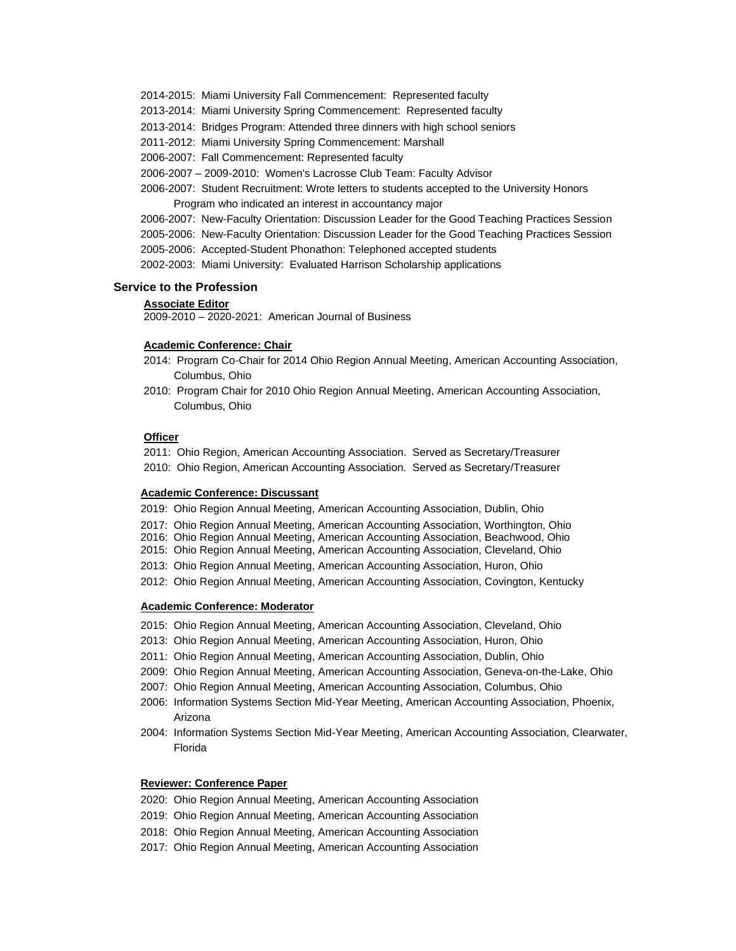- 2014-2015: Miami University Fall Commencement: Represented faculty
- 2013-2014: Miami University Spring Commencement: Represented faculty
- 2013-2014: Bridges Program: Attended three dinners with high school seniors
- 2011-2012: Miami University Spring Commencement: Marshall
- 2006-2007: Fall Commencement: Represented faculty
- 2006-2007 2009-2010: Women's Lacrosse Club Team: Faculty Advisor
- 2006-2007: Student Recruitment: Wrote letters to students accepted to the University Honors Program who indicated an interest in accountancy major
- 2006-2007: New-Faculty Orientation: Discussion Leader for the Good Teaching Practices Session
- 2005-2006: New-Faculty Orientation: Discussion Leader for the Good Teaching Practices Session
- 2005-2006: Accepted-Student Phonathon: Telephoned accepted students
- 2002-2003: Miami University: Evaluated Harrison Scholarship applications

# **Service to the Profession**

#### **Associate Editor**

2009-2010 – 2020-2021: American Journal of Business

# **Academic Conference: Chair**

- 2014: Program Co-Chair for 2014 Ohio Region Annual Meeting, American Accounting Association, Columbus, Ohio
- 2010: Program Chair for 2010 Ohio Region Annual Meeting, American Accounting Association, Columbus, Ohio

# **Officer**

 2011: Ohio Region, American Accounting Association. Served as Secretary/Treasurer 2010: Ohio Region, American Accounting Association. Served as Secretary/Treasurer

# **Academic Conference: Discussant**

- 2019: Ohio Region Annual Meeting, American Accounting Association, Dublin, Ohio
- 2017: Ohio Region Annual Meeting, American Accounting Association, Worthington, Ohio
- 2016: Ohio Region Annual Meeting, American Accounting Association, Beachwood, Ohio
- 2015: Ohio Region Annual Meeting, American Accounting Association, Cleveland, Ohio
- 2013: Ohio Region Annual Meeting, American Accounting Association, Huron, Ohio
- 2012: Ohio Region Annual Meeting, American Accounting Association, Covington, Kentucky

### **Academic Conference: Moderator**

- 2015: Ohio Region Annual Meeting, American Accounting Association, Cleveland, Ohio
- 2013: Ohio Region Annual Meeting, American Accounting Association, Huron, Ohio
- 2011: Ohio Region Annual Meeting, American Accounting Association, Dublin, Ohio
- 2009: Ohio Region Annual Meeting, American Accounting Association, Geneva-on-the-Lake, Ohio
- 2007: Ohio Region Annual Meeting, American Accounting Association, Columbus, Ohio
- 2006: Information Systems Section Mid-Year Meeting, American Accounting Association, Phoenix, Arizona
- 2004: Information Systems Section Mid-Year Meeting, American Accounting Association, Clearwater, Florida

## **Reviewer: Conference Paper**

- 2020: Ohio Region Annual Meeting, American Accounting Association
- 2019: Ohio Region Annual Meeting, American Accounting Association
- 2018: Ohio Region Annual Meeting, American Accounting Association
- 2017: Ohio Region Annual Meeting, American Accounting Association